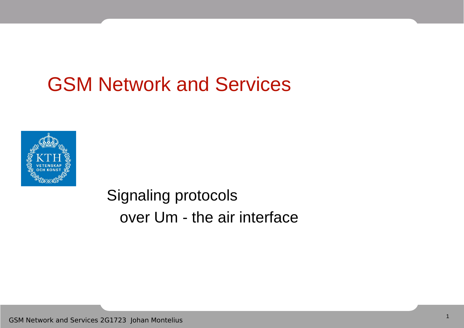# GSM Network and Services



Signaling protocols over Um - the air interface

GSM Network and Services 2G1723 Johan Montelius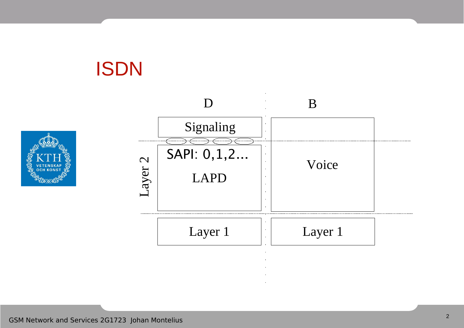

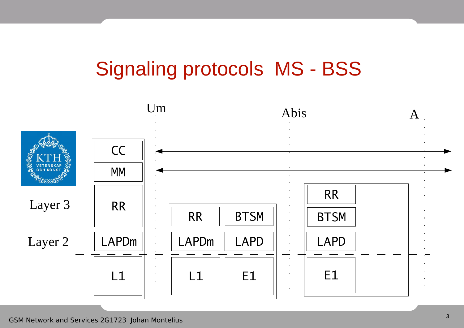# Signaling protocols MS - BSS

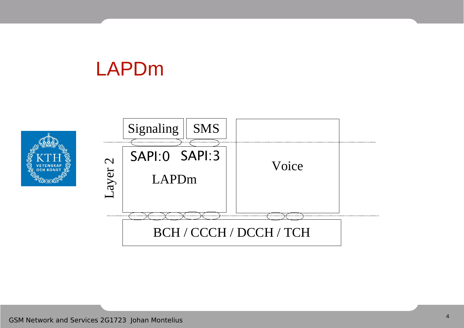## LAPDm



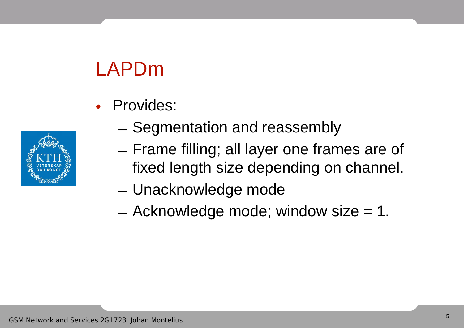# LAPDm

• Provides:



- Segmentation and reassembly
- Frame filling; all layer one frames are of fixed length size depending on channel.
- Unacknowledge mode
- $-$  Acknowledge mode; window size  $= 1$ .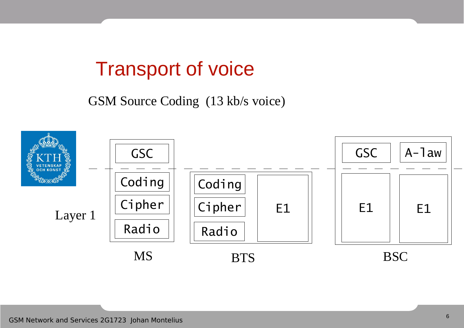## Transport of voice

GSM Source Coding (13 kb/s voice)

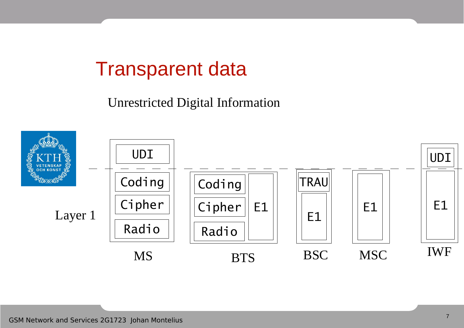## Transparent data

Unrestricted Digital Information

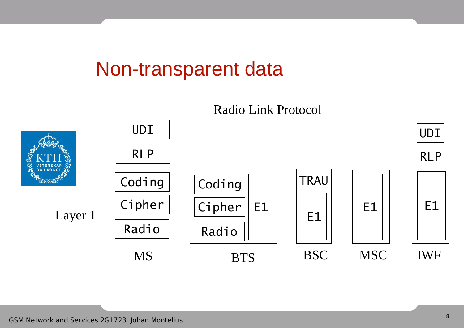#### Non-transparent data



#### GSM Network and Services 2G1723 Johan Montelius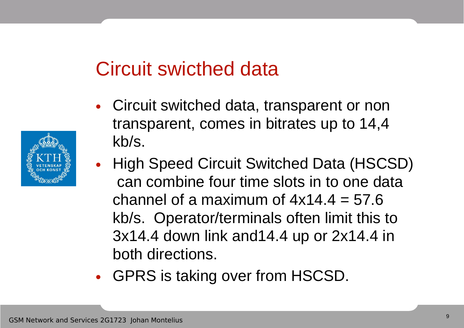## Circuit swicthed data

- Circuit switched data, transparent or non transparent, comes in bitrates up to 14,4 kb/s.
- High Speed Circuit Switched Data (HSCSD) can combine four time slots in to one data channel of a maximum of  $4x14.4 = 57.6$ kb/s. Operator/terminals often limit this to 3x14.4 down link and14.4 up or 2x14.4 in both directions.
- GPRS is taking over from HSCSD.

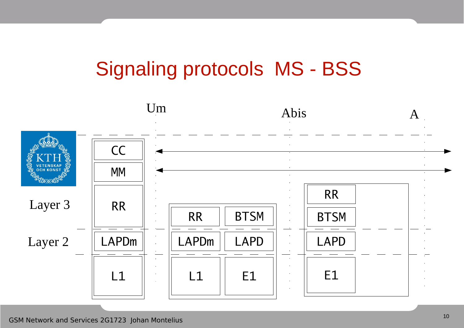# Signaling protocols MS - BSS

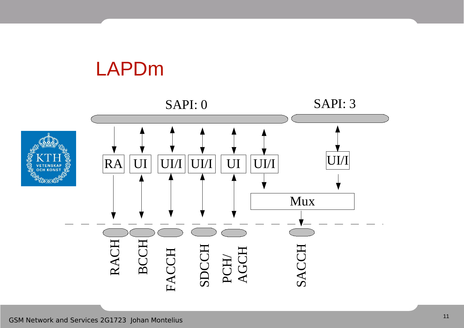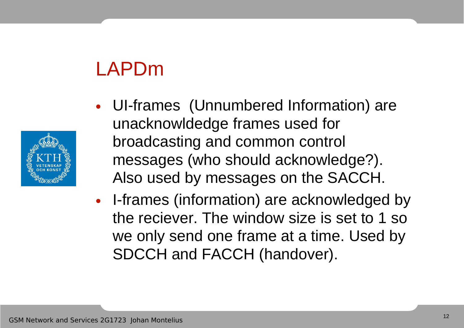# LAPDm



- UI-frames (Unnumbered Information) are unacknowldedge frames used for broadcasting and common control messages (who should acknowledge?). Also used by messages on the SACCH.
- I-frames (information) are acknowledged by the reciever. The window size is set to 1 so we only send one frame at a time. Used by SDCCH and FACCH (handover).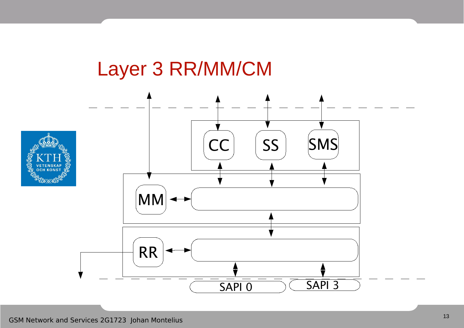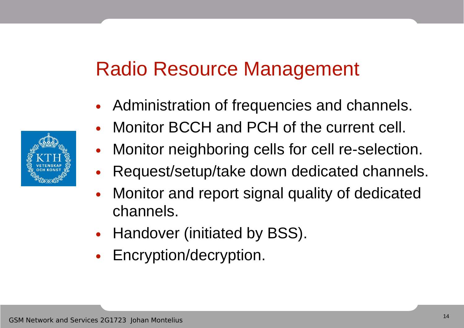# Radio Resource Management

- Administration of frequencies and channels.
- Monitor BCCH and PCH of the current cell.
- Monitor neighboring cells for cell re-selection.
- Request/setup/take down dedicated channels.
- Monitor and report signal quality of dedicated channels.
- Handover (initiated by BSS).
- Encryption/decryption.

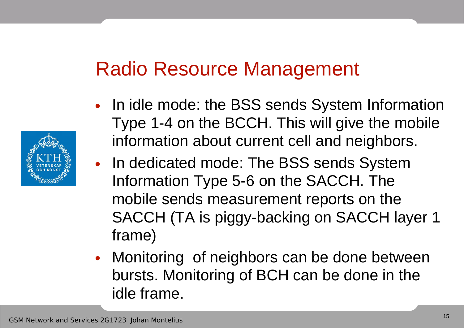# Radio Resource Management



- In idle mode: the BSS sends System Information Type 1-4 on the BCCH. This will give the mobile information about current cell and neighbors.
- In dedicated mode: The BSS sends System Information Type 5-6 on the SACCH. The mobile sends measurement reports on the SACCH (TA is piggy-backing on SACCH layer 1 frame)
- Monitoring of neighbors can be done between bursts. Monitoring of BCH can be done in the idle frame.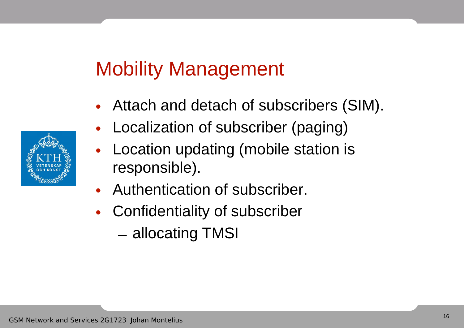# Mobility Management

- Attach and detach of subscribers (SIM).
- Localization of subscriber (paging)
- Location updating (mobile station is responsible).
- Authentication of subscriber.
- Confidentiality of subscriber
	- allocating TMSI

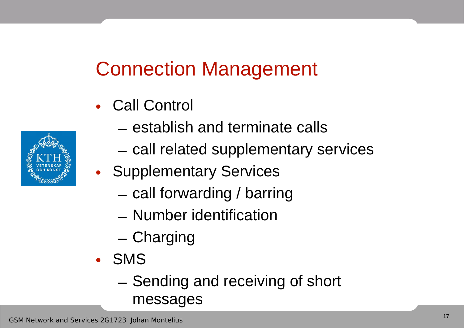# Connection Management

- Call Control
- 
- establish and terminate calls
- call related supplementary services
- Supplementary Services
	- call forwarding / barring
	- Number identification
	- Charging
- SMS
	- Sending and receiving of short messages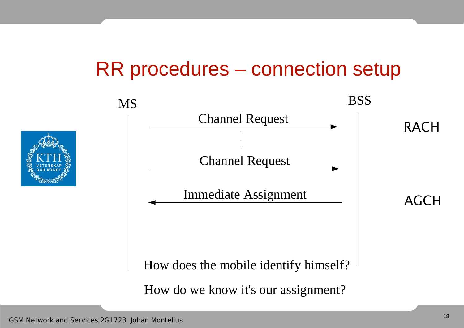## RR procedures – connection setup

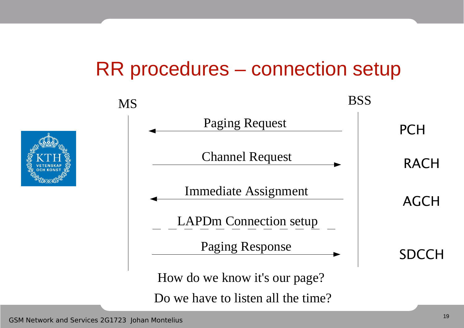## RR procedures – connection setup

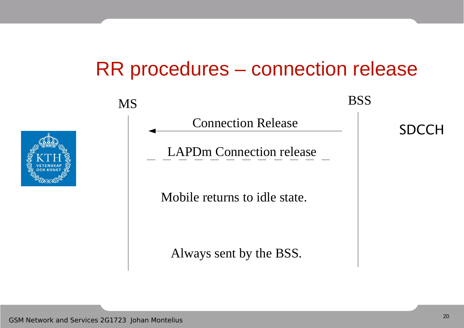## RR procedures – connection release



MS BSS

Connection Release

LAPDm Connection release

Mobile returns to idle state.

Always sent by the BSS.

SDCCH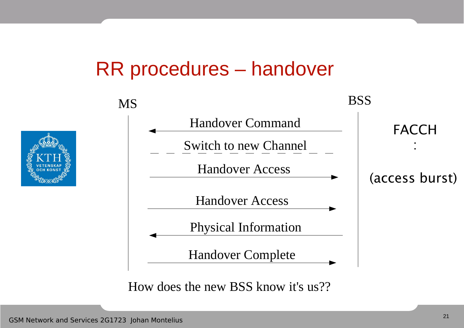#### RR procedures – handover



How does the new BSS know it's us??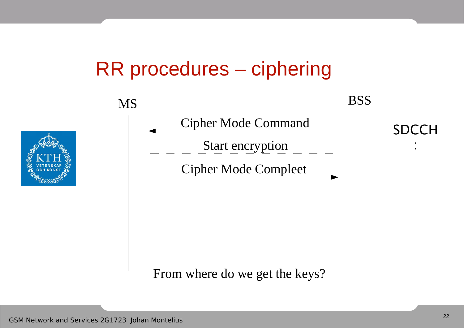## RR procedures – ciphering

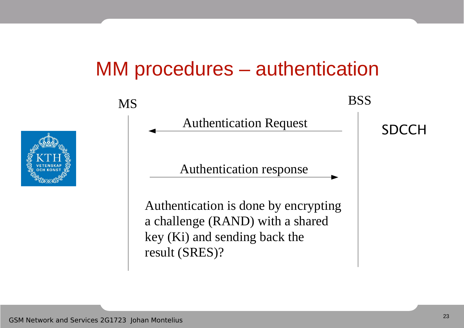#### MM procedures – authentication

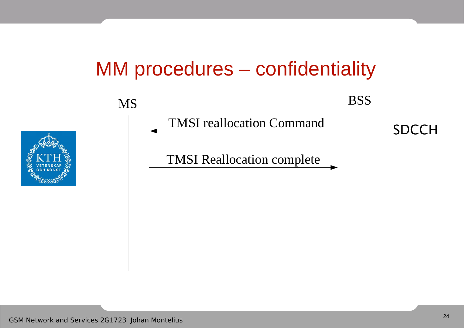## MM procedures – confidentiality



MS BSS

TMSI reallocation Command<br>
SDCCH

TMSI Reallocation complete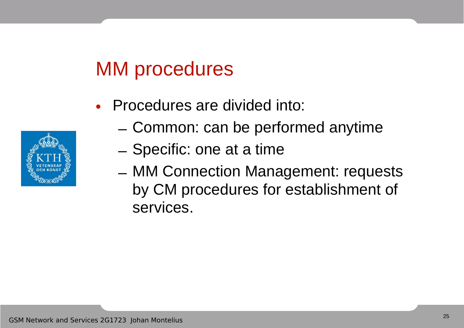## MM procedures

- Procedures are divided into:
	- Common: can be performed anytime
	- Specific: one at a time
	- MM Connection Management: requests by CM procedures for establishment of services.

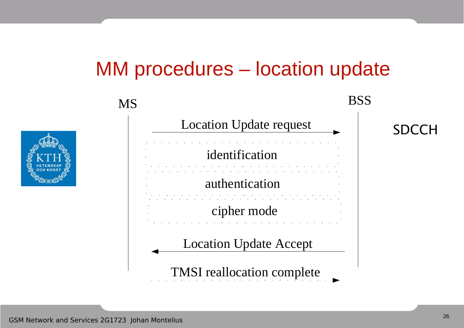## MM procedures – location update





SDCCH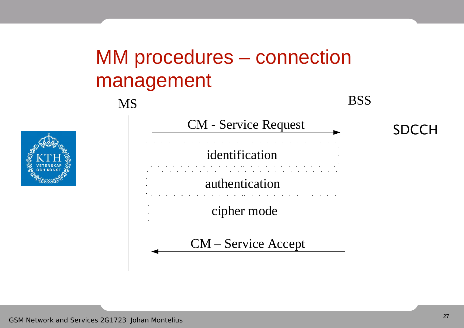# MM procedures – connection management





SDCCH